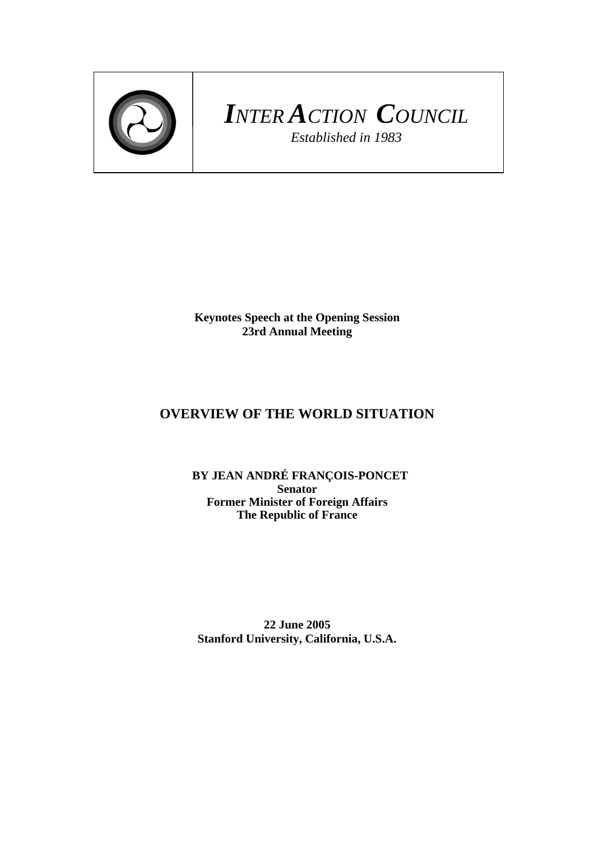

# *INTER ACTION COUNCIL Established in 1983*

**Keynotes Speech at the Opening Session 23rd Annual Meeting** 

## **OVERVIEW OF THE WORLD SITUATION**

 **BY JEAN ANDRÉ FRANÇOIS-PONCET Senator Former Minister of Foreign Affairs The Republic of France** 

**22 June 2005 Stanford University, California, U.S.A.**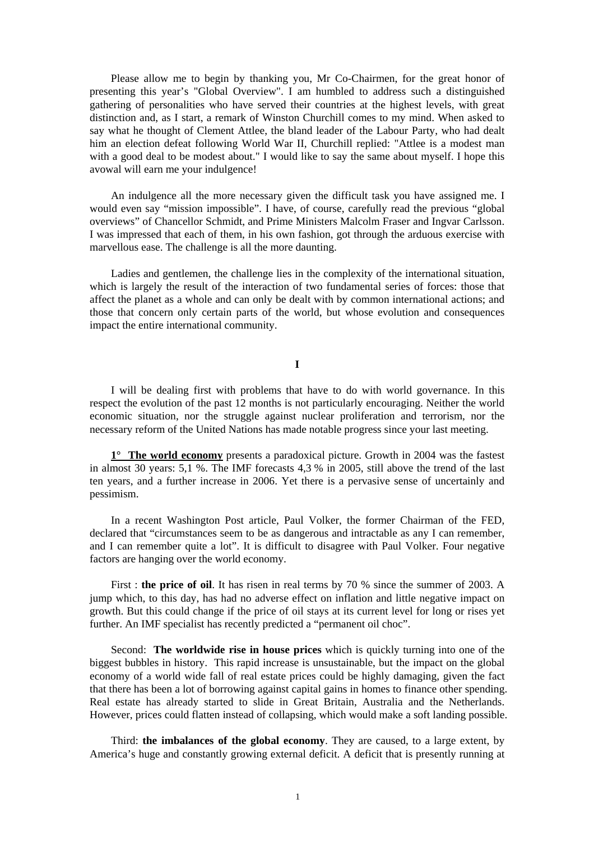Please allow me to begin by thanking you, Mr Co-Chairmen, for the great honor of presenting this year's "Global Overview". I am humbled to address such a distinguished gathering of personalities who have served their countries at the highest levels, with great distinction and, as I start, a remark of Winston Churchill comes to my mind. When asked to say what he thought of Clement Attlee, the bland leader of the Labour Party, who had dealt him an election defeat following World War II, Churchill replied: "Attlee is a modest man with a good deal to be modest about." I would like to say the same about myself. I hope this avowal will earn me your indulgence!

An indulgence all the more necessary given the difficult task you have assigned me. I would even say "mission impossible". I have, of course, carefully read the previous "global overviews" of Chancellor Schmidt, and Prime Ministers Malcolm Fraser and Ingvar Carlsson. I was impressed that each of them, in his own fashion, got through the arduous exercise with marvellous ease. The challenge is all the more daunting.

Ladies and gentlemen, the challenge lies in the complexity of the international situation, which is largely the result of the interaction of two fundamental series of forces: those that affect the planet as a whole and can only be dealt with by common international actions; and those that concern only certain parts of the world, but whose evolution and consequences impact the entire international community.

### **I**

I will be dealing first with problems that have to do with world governance. In this respect the evolution of the past 12 months is not particularly encouraging. Neither the world economic situation, nor the struggle against nuclear proliferation and terrorism, nor the necessary reform of the United Nations has made notable progress since your last meeting.

**1° The world economy** presents a paradoxical picture. Growth in 2004 was the fastest in almost 30 years: 5,1 %. The IMF forecasts 4,3 % in 2005, still above the trend of the last ten years, and a further increase in 2006. Yet there is a pervasive sense of uncertainly and pessimism.

In a recent Washington Post article, Paul Volker, the former Chairman of the FED, declared that "circumstances seem to be as dangerous and intractable as any I can remember, and I can remember quite a lot". It is difficult to disagree with Paul Volker. Four negative factors are hanging over the world economy.

First : **the price of oil**. It has risen in real terms by 70 % since the summer of 2003. A jump which, to this day, has had no adverse effect on inflation and little negative impact on growth. But this could change if the price of oil stays at its current level for long or rises yet further. An IMF specialist has recently predicted a "permanent oil choc".

Second: **The worldwide rise in house prices** which is quickly turning into one of the biggest bubbles in history. This rapid increase is unsustainable, but the impact on the global economy of a world wide fall of real estate prices could be highly damaging, given the fact that there has been a lot of borrowing against capital gains in homes to finance other spending. Real estate has already started to slide in Great Britain, Australia and the Netherlands. However, prices could flatten instead of collapsing, which would make a soft landing possible.

Third: **the imbalances of the global economy**. They are caused, to a large extent, by America's huge and constantly growing external deficit. A deficit that is presently running at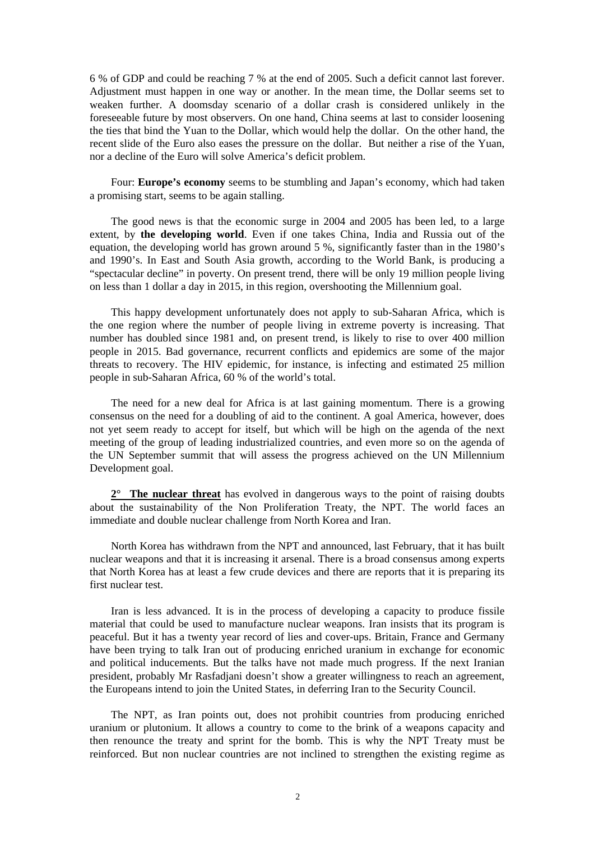6 % of GDP and could be reaching 7 % at the end of 2005. Such a deficit cannot last forever. Adjustment must happen in one way or another. In the mean time, the Dollar seems set to weaken further. A doomsday scenario of a dollar crash is considered unlikely in the foreseeable future by most observers. On one hand, China seems at last to consider loosening the ties that bind the Yuan to the Dollar, which would help the dollar. On the other hand, the recent slide of the Euro also eases the pressure on the dollar. But neither a rise of the Yuan, nor a decline of the Euro will solve America's deficit problem.

Four: **Europe's economy** seems to be stumbling and Japan's economy, which had taken a promising start, seems to be again stalling.

The good news is that the economic surge in 2004 and 2005 has been led, to a large extent, by **the developing world**. Even if one takes China, India and Russia out of the equation, the developing world has grown around 5 %, significantly faster than in the 1980's and 1990's. In East and South Asia growth, according to the World Bank, is producing a "spectacular decline" in poverty. On present trend, there will be only 19 million people living on less than 1 dollar a day in 2015, in this region, overshooting the Millennium goal.

This happy development unfortunately does not apply to sub-Saharan Africa, which is the one region where the number of people living in extreme poverty is increasing. That number has doubled since 1981 and, on present trend, is likely to rise to over 400 million people in 2015. Bad governance, recurrent conflicts and epidemics are some of the major threats to recovery. The HIV epidemic, for instance, is infecting and estimated 25 million people in sub-Saharan Africa, 60 % of the world's total.

The need for a new deal for Africa is at last gaining momentum. There is a growing consensus on the need for a doubling of aid to the continent. A goal America, however, does not yet seem ready to accept for itself, but which will be high on the agenda of the next meeting of the group of leading industrialized countries, and even more so on the agenda of the UN September summit that will assess the progress achieved on the UN Millennium Development goal.

2<sup>°</sup> The nuclear threat has evolved in dangerous ways to the point of raising doubts about the sustainability of the Non Proliferation Treaty, the NPT. The world faces an immediate and double nuclear challenge from North Korea and Iran.

North Korea has withdrawn from the NPT and announced, last February, that it has built nuclear weapons and that it is increasing it arsenal. There is a broad consensus among experts that North Korea has at least a few crude devices and there are reports that it is preparing its first nuclear test.

Iran is less advanced. It is in the process of developing a capacity to produce fissile material that could be used to manufacture nuclear weapons. Iran insists that its program is peaceful. But it has a twenty year record of lies and cover-ups. Britain, France and Germany have been trying to talk Iran out of producing enriched uranium in exchange for economic and political inducements. But the talks have not made much progress. If the next Iranian president, probably Mr Rasfadjani doesn't show a greater willingness to reach an agreement, the Europeans intend to join the United States, in deferring Iran to the Security Council.

The NPT, as Iran points out, does not prohibit countries from producing enriched uranium or plutonium. It allows a country to come to the brink of a weapons capacity and then renounce the treaty and sprint for the bomb. This is why the NPT Treaty must be reinforced. But non nuclear countries are not inclined to strengthen the existing regime as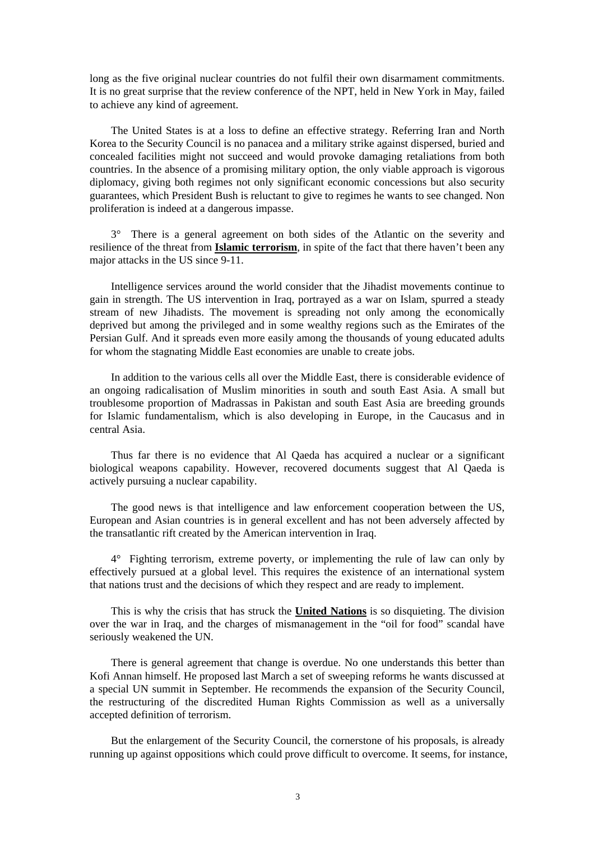long as the five original nuclear countries do not fulfil their own disarmament commitments. It is no great surprise that the review conference of the NPT, held in New York in May, failed to achieve any kind of agreement.

The United States is at a loss to define an effective strategy. Referring Iran and North Korea to the Security Council is no panacea and a military strike against dispersed, buried and concealed facilities might not succeed and would provoke damaging retaliations from both countries. In the absence of a promising military option, the only viable approach is vigorous diplomacy, giving both regimes not only significant economic concessions but also security guarantees, which President Bush is reluctant to give to regimes he wants to see changed. Non proliferation is indeed at a dangerous impasse.

3° There is a general agreement on both sides of the Atlantic on the severity and resilience of the threat from **Islamic terrorism**, in spite of the fact that there haven't been any major attacks in the US since 9-11.

Intelligence services around the world consider that the Jihadist movements continue to gain in strength. The US intervention in Iraq, portrayed as a war on Islam, spurred a steady stream of new Jihadists. The movement is spreading not only among the economically deprived but among the privileged and in some wealthy regions such as the Emirates of the Persian Gulf. And it spreads even more easily among the thousands of young educated adults for whom the stagnating Middle East economies are unable to create jobs.

In addition to the various cells all over the Middle East, there is considerable evidence of an ongoing radicalisation of Muslim minorities in south and south East Asia. A small but troublesome proportion of Madrassas in Pakistan and south East Asia are breeding grounds for Islamic fundamentalism, which is also developing in Europe, in the Caucasus and in central Asia.

Thus far there is no evidence that Al Qaeda has acquired a nuclear or a significant biological weapons capability. However, recovered documents suggest that Al Qaeda is actively pursuing a nuclear capability.

The good news is that intelligence and law enforcement cooperation between the US, European and Asian countries is in general excellent and has not been adversely affected by the transatlantic rift created by the American intervention in Iraq.

4° Fighting terrorism, extreme poverty, or implementing the rule of law can only by effectively pursued at a global level. This requires the existence of an international system that nations trust and the decisions of which they respect and are ready to implement.

This is why the crisis that has struck the **United Nations** is so disquieting. The division over the war in Iraq, and the charges of mismanagement in the "oil for food" scandal have seriously weakened the UN.

There is general agreement that change is overdue. No one understands this better than Kofi Annan himself. He proposed last March a set of sweeping reforms he wants discussed at a special UN summit in September. He recommends the expansion of the Security Council, the restructuring of the discredited Human Rights Commission as well as a universally accepted definition of terrorism.

But the enlargement of the Security Council, the cornerstone of his proposals, is already running up against oppositions which could prove difficult to overcome. It seems, for instance,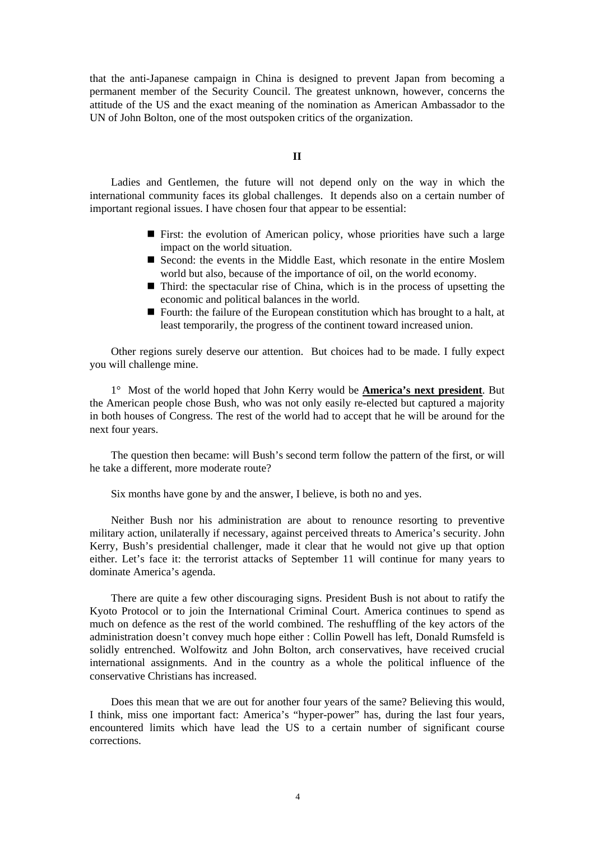that the anti-Japanese campaign in China is designed to prevent Japan from becoming a permanent member of the Security Council. The greatest unknown, however, concerns the attitude of the US and the exact meaning of the nomination as American Ambassador to the UN of John Bolton, one of the most outspoken critics of the organization.

#### **II**

Ladies and Gentlemen, the future will not depend only on the way in which the international community faces its global challenges. It depends also on a certain number of important regional issues. I have chosen four that appear to be essential:

- First: the evolution of American policy, whose priorities have such a large impact on the world situation.
- Second: the events in the Middle East, which resonate in the entire Moslem world but also, because of the importance of oil, on the world economy.
- Third: the spectacular rise of China, which is in the process of upsetting the economic and political balances in the world.
- Fourth: the failure of the European constitution which has brought to a halt, at least temporarily, the progress of the continent toward increased union.

Other regions surely deserve our attention. But choices had to be made. I fully expect you will challenge mine.

1° Most of the world hoped that John Kerry would be **America's next president**. But the American people chose Bush, who was not only easily re-elected but captured a majority in both houses of Congress. The rest of the world had to accept that he will be around for the next four years.

The question then became: will Bush's second term follow the pattern of the first, or will he take a different, more moderate route?

Six months have gone by and the answer, I believe, is both no and yes.

Neither Bush nor his administration are about to renounce resorting to preventive military action, unilaterally if necessary, against perceived threats to America's security. John Kerry, Bush's presidential challenger, made it clear that he would not give up that option either. Let's face it: the terrorist attacks of September 11 will continue for many years to dominate America's agenda.

There are quite a few other discouraging signs. President Bush is not about to ratify the Kyoto Protocol or to join the International Criminal Court. America continues to spend as much on defence as the rest of the world combined. The reshuffling of the key actors of the administration doesn't convey much hope either : Collin Powell has left, Donald Rumsfeld is solidly entrenched. Wolfowitz and John Bolton, arch conservatives, have received crucial international assignments. And in the country as a whole the political influence of the conservative Christians has increased.

Does this mean that we are out for another four years of the same? Believing this would, I think, miss one important fact: America's "hyper-power" has, during the last four years, encountered limits which have lead the US to a certain number of significant course corrections.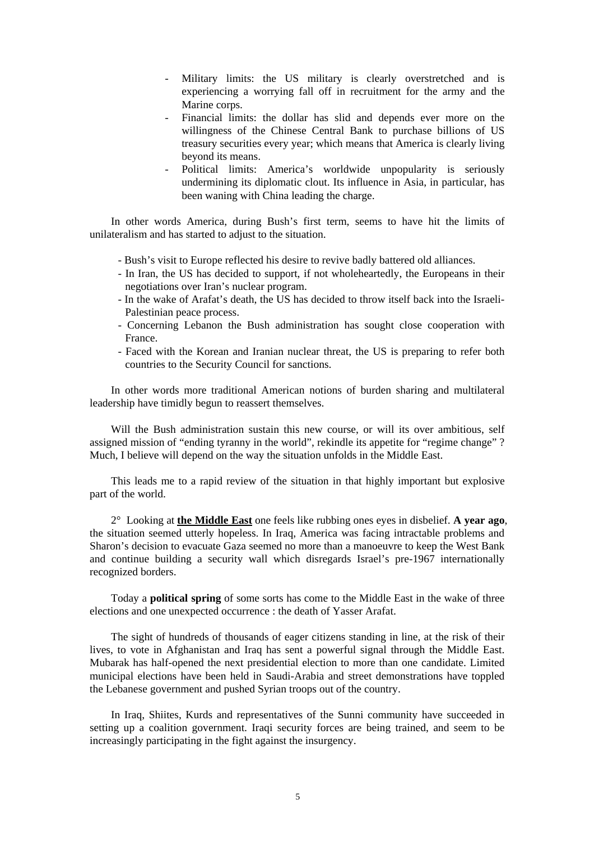- Military limits: the US military is clearly overstretched and is experiencing a worrying fall off in recruitment for the army and the Marine corps.
- Financial limits: the dollar has slid and depends ever more on the willingness of the Chinese Central Bank to purchase billions of US treasury securities every year; which means that America is clearly living beyond its means.
- Political limits: America's worldwide unpopularity is seriously undermining its diplomatic clout. Its influence in Asia, in particular, has been waning with China leading the charge.

In other words America, during Bush's first term, seems to have hit the limits of unilateralism and has started to adjust to the situation.

- Bush's visit to Europe reflected his desire to revive badly battered old alliances.
- In Iran, the US has decided to support, if not wholeheartedly, the Europeans in their negotiations over Iran's nuclear program.
- In the wake of Arafat's death, the US has decided to throw itself back into the Israeli-Palestinian peace process.
- Concerning Lebanon the Bush administration has sought close cooperation with France.
- Faced with the Korean and Iranian nuclear threat, the US is preparing to refer both countries to the Security Council for sanctions.

In other words more traditional American notions of burden sharing and multilateral leadership have timidly begun to reassert themselves.

Will the Bush administration sustain this new course, or will its over ambitious, self assigned mission of "ending tyranny in the world", rekindle its appetite for "regime change" ? Much, I believe will depend on the way the situation unfolds in the Middle East.

This leads me to a rapid review of the situation in that highly important but explosive part of the world.

2° Looking at **the Middle East** one feels like rubbing ones eyes in disbelief. **A year ago**, the situation seemed utterly hopeless. In Iraq, America was facing intractable problems and Sharon's decision to evacuate Gaza seemed no more than a manoeuvre to keep the West Bank and continue building a security wall which disregards Israel's pre-1967 internationally recognized borders.

Today a **political spring** of some sorts has come to the Middle East in the wake of three elections and one unexpected occurrence : the death of Yasser Arafat.

The sight of hundreds of thousands of eager citizens standing in line, at the risk of their lives, to vote in Afghanistan and Iraq has sent a powerful signal through the Middle East. Mubarak has half-opened the next presidential election to more than one candidate. Limited municipal elections have been held in Saudi-Arabia and street demonstrations have toppled the Lebanese government and pushed Syrian troops out of the country.

In Iraq, Shiites, Kurds and representatives of the Sunni community have succeeded in setting up a coalition government. Iraqi security forces are being trained, and seem to be increasingly participating in the fight against the insurgency.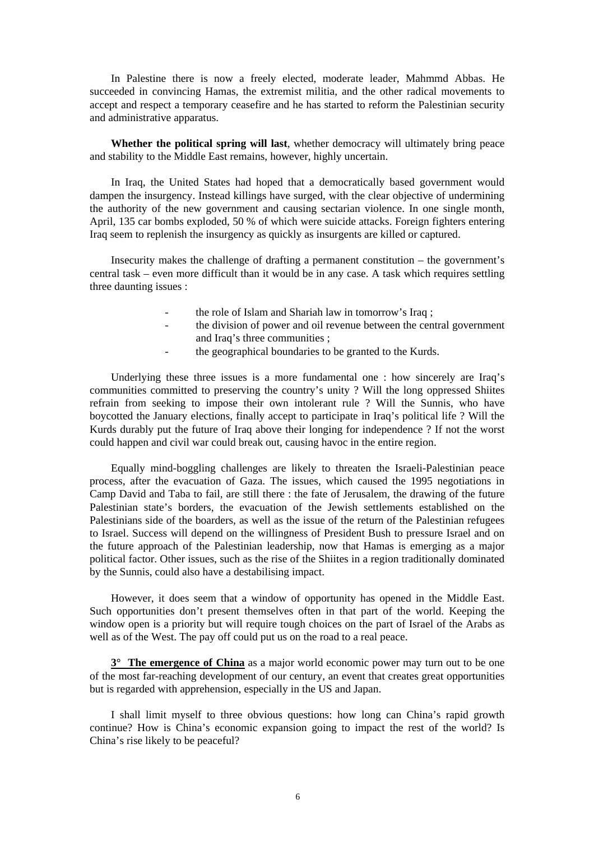In Palestine there is now a freely elected, moderate leader, Mahmmd Abbas. He succeeded in convincing Hamas, the extremist militia, and the other radical movements to accept and respect a temporary ceasefire and he has started to reform the Palestinian security and administrative apparatus.

**Whether the political spring will last**, whether democracy will ultimately bring peace and stability to the Middle East remains, however, highly uncertain.

In Iraq, the United States had hoped that a democratically based government would dampen the insurgency. Instead killings have surged, with the clear objective of undermining the authority of the new government and causing sectarian violence. In one single month, April, 135 car bombs exploded, 50 % of which were suicide attacks. Foreign fighters entering Iraq seem to replenish the insurgency as quickly as insurgents are killed or captured.

Insecurity makes the challenge of drafting a permanent constitution – the government's central task – even more difficult than it would be in any case. A task which requires settling three daunting issues :

- the role of Islam and Shariah law in tomorrow's Iraq ;
- the division of power and oil revenue between the central government and Iraq's three communities ;
- the geographical boundaries to be granted to the Kurds.

Underlying these three issues is a more fundamental one : how sincerely are Iraq's communities committed to preserving the country's unity ? Will the long oppressed Shiites refrain from seeking to impose their own intolerant rule ? Will the Sunnis, who have boycotted the January elections, finally accept to participate in Iraq's political life ? Will the Kurds durably put the future of Iraq above their longing for independence ? If not the worst could happen and civil war could break out, causing havoc in the entire region.

Equally mind-boggling challenges are likely to threaten the Israeli-Palestinian peace process, after the evacuation of Gaza. The issues, which caused the 1995 negotiations in Camp David and Taba to fail, are still there : the fate of Jerusalem, the drawing of the future Palestinian state's borders, the evacuation of the Jewish settlements established on the Palestinians side of the boarders, as well as the issue of the return of the Palestinian refugees to Israel. Success will depend on the willingness of President Bush to pressure Israel and on the future approach of the Palestinian leadership, now that Hamas is emerging as a major political factor. Other issues, such as the rise of the Shiites in a region traditionally dominated by the Sunnis, could also have a destabilising impact.

However, it does seem that a window of opportunity has opened in the Middle East. Such opportunities don't present themselves often in that part of the world. Keeping the window open is a priority but will require tough choices on the part of Israel of the Arabs as well as of the West. The pay off could put us on the road to a real peace.

**3° The emergence of China** as a major world economic power may turn out to be one of the most far-reaching development of our century, an event that creates great opportunities but is regarded with apprehension, especially in the US and Japan.

I shall limit myself to three obvious questions: how long can China's rapid growth continue? How is China's economic expansion going to impact the rest of the world? Is China's rise likely to be peaceful?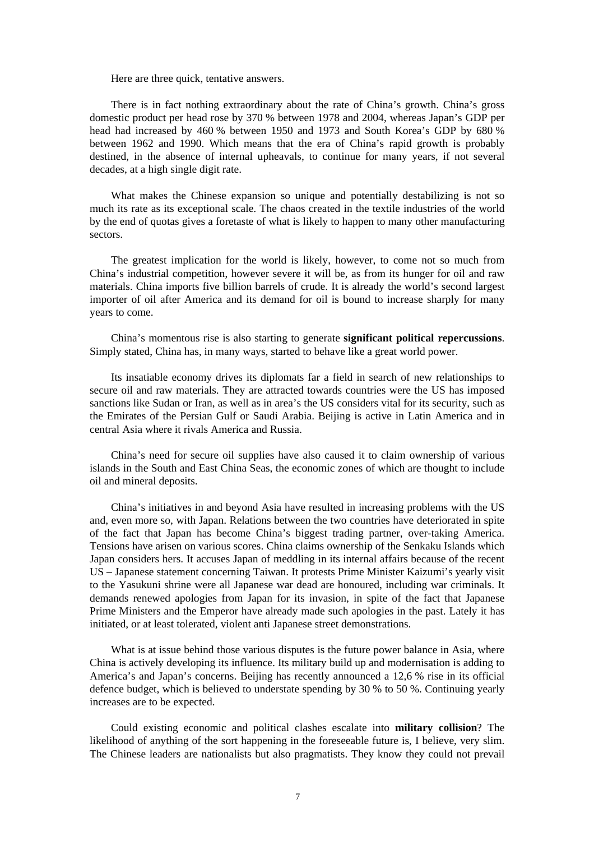Here are three quick, tentative answers.

There is in fact nothing extraordinary about the rate of China's growth. China's gross domestic product per head rose by 370 % between 1978 and 2004, whereas Japan's GDP per head had increased by 460 % between 1950 and 1973 and South Korea's GDP by 680 % between 1962 and 1990. Which means that the era of China's rapid growth is probably destined, in the absence of internal upheavals, to continue for many years, if not several decades, at a high single digit rate.

What makes the Chinese expansion so unique and potentially destabilizing is not so much its rate as its exceptional scale. The chaos created in the textile industries of the world by the end of quotas gives a foretaste of what is likely to happen to many other manufacturing sectors.

The greatest implication for the world is likely, however, to come not so much from China's industrial competition, however severe it will be, as from its hunger for oil and raw materials. China imports five billion barrels of crude. It is already the world's second largest importer of oil after America and its demand for oil is bound to increase sharply for many years to come.

China's momentous rise is also starting to generate **significant political repercussions**. Simply stated, China has, in many ways, started to behave like a great world power.

Its insatiable economy drives its diplomats far a field in search of new relationships to secure oil and raw materials. They are attracted towards countries were the US has imposed sanctions like Sudan or Iran, as well as in area's the US considers vital for its security, such as the Emirates of the Persian Gulf or Saudi Arabia. Beijing is active in Latin America and in central Asia where it rivals America and Russia.

China's need for secure oil supplies have also caused it to claim ownership of various islands in the South and East China Seas, the economic zones of which are thought to include oil and mineral deposits.

China's initiatives in and beyond Asia have resulted in increasing problems with the US and, even more so, with Japan. Relations between the two countries have deteriorated in spite of the fact that Japan has become China's biggest trading partner, over-taking America. Tensions have arisen on various scores. China claims ownership of the Senkaku Islands which Japan considers hers. It accuses Japan of meddling in its internal affairs because of the recent US – Japanese statement concerning Taiwan. It protests Prime Minister Kaizumi's yearly visit to the Yasukuni shrine were all Japanese war dead are honoured, including war criminals. It demands renewed apologies from Japan for its invasion, in spite of the fact that Japanese Prime Ministers and the Emperor have already made such apologies in the past. Lately it has initiated, or at least tolerated, violent anti Japanese street demonstrations.

What is at issue behind those various disputes is the future power balance in Asia, where China is actively developing its influence. Its military build up and modernisation is adding to America's and Japan's concerns. Beijing has recently announced a 12,6 % rise in its official defence budget, which is believed to understate spending by 30 % to 50 %. Continuing yearly increases are to be expected.

Could existing economic and political clashes escalate into **military collision**? The likelihood of anything of the sort happening in the foreseeable future is, I believe, very slim. The Chinese leaders are nationalists but also pragmatists. They know they could not prevail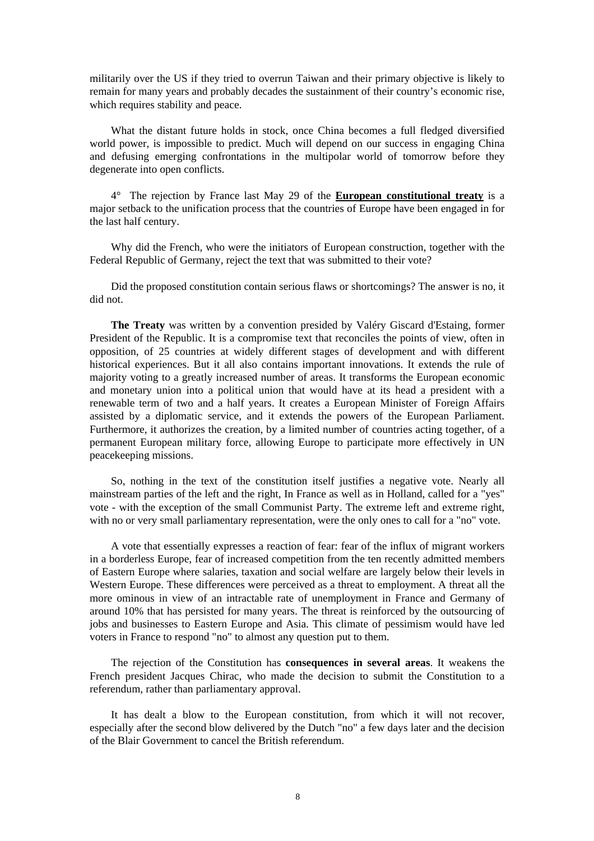militarily over the US if they tried to overrun Taiwan and their primary objective is likely to remain for many years and probably decades the sustainment of their country's economic rise, which requires stability and peace.

What the distant future holds in stock, once China becomes a full fledged diversified world power, is impossible to predict. Much will depend on our success in engaging China and defusing emerging confrontations in the multipolar world of tomorrow before they degenerate into open conflicts.

4° The rejection by France last May 29 of the **European constitutional treaty** is a major setback to the unification process that the countries of Europe have been engaged in for the last half century.

Why did the French, who were the initiators of European construction, together with the Federal Republic of Germany, reject the text that was submitted to their vote?

Did the proposed constitution contain serious flaws or shortcomings? The answer is no, it did not.

**The Treaty** was written by a convention presided by Valéry Giscard d'Estaing, former President of the Republic. It is a compromise text that reconciles the points of view, often in opposition, of 25 countries at widely different stages of development and with different historical experiences. But it all also contains important innovations. It extends the rule of majority voting to a greatly increased number of areas. It transforms the European economic and monetary union into a political union that would have at its head a president with a renewable term of two and a half years. It creates a European Minister of Foreign Affairs assisted by a diplomatic service, and it extends the powers of the European Parliament. Furthermore, it authorizes the creation, by a limited number of countries acting together, of a permanent European military force, allowing Europe to participate more effectively in UN peacekeeping missions.

So, nothing in the text of the constitution itself justifies a negative vote. Nearly all mainstream parties of the left and the right, In France as well as in Holland, called for a "yes" vote - with the exception of the small Communist Party. The extreme left and extreme right, with no or very small parliamentary representation, were the only ones to call for a "no" vote.

A vote that essentially expresses a reaction of fear: fear of the influx of migrant workers in a borderless Europe, fear of increased competition from the ten recently admitted members of Eastern Europe where salaries, taxation and social welfare are largely below their levels in Western Europe. These differences were perceived as a threat to employment. A threat all the more ominous in view of an intractable rate of unemployment in France and Germany of around 10% that has persisted for many years. The threat is reinforced by the outsourcing of jobs and businesses to Eastern Europe and Asia. This climate of pessimism would have led voters in France to respond "no" to almost any question put to them.

The rejection of the Constitution has **consequences in several areas**. It weakens the French president Jacques Chirac, who made the decision to submit the Constitution to a referendum, rather than parliamentary approval.

It has dealt a blow to the European constitution, from which it will not recover, especially after the second blow delivered by the Dutch "no" a few days later and the decision of the Blair Government to cancel the British referendum.